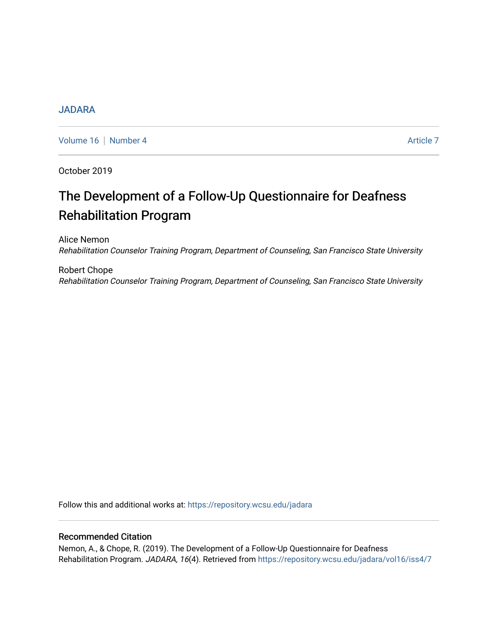## [JADARA](https://repository.wcsu.edu/jadara)

[Volume 16](https://repository.wcsu.edu/jadara/vol16) | [Number 4](https://repository.wcsu.edu/jadara/vol16/iss4) Article 7

October 2019

# The Development of a Follow-Up Questionnaire for Deafness Rehabilitation Program

Alice Nemon Rehabilitation Counselor Training Program, Department of Counseling, San Francisco State University

Robert Chope Rehabilitation Counselor Training Program, Department of Counseling, San Francisco State University

Follow this and additional works at: [https://repository.wcsu.edu/jadara](https://repository.wcsu.edu/jadara?utm_source=repository.wcsu.edu%2Fjadara%2Fvol16%2Fiss4%2F7&utm_medium=PDF&utm_campaign=PDFCoverPages)

# Recommended Citation

Nemon, A., & Chope, R. (2019). The Development of a Follow-Up Questionnaire for Deafness Rehabilitation Program. JADARA, 16(4). Retrieved from https://repository.wcsu.edu/jadara/vol16/iss4/7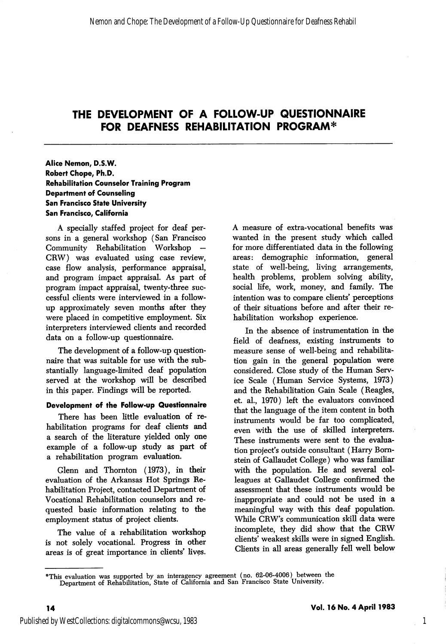#### Alice Nemon, D.S.W. Robert Chope, Ph.D. Rehabilitation Counselor Training Program Department of Counseling San Francisco State University San Francisco, California

A specially staffed project for deaf per sons in a general workshop (San Francisco Community Rehabilitation Workshop — CRW) was evaluated using case review, case flow analysis, performance appraisal, and program impact appraisal. As part of program impact appraisal, twenty-three suc cessful clients were interviewed in a followup approximately seven months after they were placed in competitive employment. Six interpreters interviewed clients and recorded data on a follow-up questionnaire.

The development of a follow-up question naire that was suitable for use with the sub stantially language-limited deaf population served at the workshop will be described in this paper. Findings will be reported.

#### Development of the Follow-up Questionnaire

There has been little evaluation of re habilitation programs for deaf clients and a search of the literature yielded only one example of a follow-up study as part of a rehabilitation program evaluation.

Glenn and Thornton (1973), in their evaluation of the Arkansas Hot Springs Re habilitation Project, contacted Department of Vocational Rehabilitation counselors and re quested basic information relating to the employment status of project clients.

The value of a rehabilitation workshop is not solely vocational. Progress in other areas is of great importance in clients' lives.

A measure of extra-vocational benefits was wanted in the present study which called for more differentiated data in the following areas: demographic information, general state of well-being, living arrangements, health problems, problem solving ability, social life, work, money, and family. The intention was to compare clients' perceptions of their situations before and after their re habilitation workshop experience.

In the absence of instrumentation in the field of deafness, existing instruments to measure sense of well-being and rehabilita tion gain in the general population were considered. Close study of the Human Serv ice Scale (Human Service Systems, 1973) and the Rehabilitation Gain Scale (Reagles, et. al., 1970) left the evaluators convinced that the language of the item content in both instruments would be far too complicated, even with the use of skilled interpreters. These instruments were sent to the evalua tion project's outside consultant (Harry Bomstein of Gallaudet College) who was familiar with the population. He and several col leagues at Gallaudet College confirmed the assessment that these instruments would be inappropriate and could not be used in a meaningful way with this deaf population. While CRW's communication skiU data were incomplete, they did show that the CRW clients' weakest skills were in signed English. Clients in all areas generally fell well below

1

<sup>&#</sup>x27;\*This evaluation was supported by an interagency agreement (no. 62-06-4006) between the Department of Rehabilitation, State of California and San Francisco State University.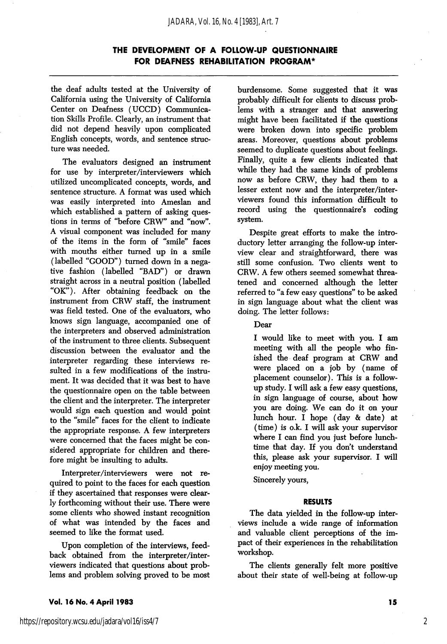the deaf adults tested at the University of California using the University of California Center on Deafness (UCCD) Communica tion Skills Profile. Clearly, an instrument that did not depend heavily upon complicated English concepts, words, and sentence struc ture was needed.

The evaluators designed an instrument for use by interpreter/interviewers which utilized uncomplicated concepts, words, and sentence structure. A format was used which was easily interpreted into Ameslan and which established a pattern of asking ques tions in terms of "before CRW" and "now". A visual component was included for many of the items in the form of "smile" faces with mouths either turned up in a smile (labelled "GOOD") turned down in a nega tive fashion (labelled "BAD") or drawn straight across in a neutral position (labelled "OK"). After obtaining feedback on the instrument from CRW staff, the instrument was field tested. One of the evaluators, who knows sign language, accompanied one of the interpreters and observed administration of the instrument to three clients. Subsequent discussion between the evaluator and the interpreter regarding these interviews re sulted in a few modifications of the instru ment. It was decided that it was best to have the questionnaire open on the table between the client and the interpreter. The interpreter would sign each question and would point to the "smile" faces for the client to indicate the appropriate response. A few interpreters were concerned that the faces might be con sidered appropriate for children and there fore might be insulting to adults.

Interpreter/interviewers were not re quired to point to the faces for each question if they ascertained that responses were clear ly forthcoming without their use. There were some clients who showed instant recognition of what was intended by the faces and seemed to like the format used.

Upon completion of the interviews, feed back obtained from the interpreter/inter viewers indicated that questions about prob lems and problem solving proved to be most burdensome. Some suggested that it was probably difficult for clients to discuss prob lems with a stranger and that answering might have been facilitated if the questions were broken down into specific problem areas. Moreover, questions about problems seemed to duplicate questions about feelings. Finally, quite a few clients indicated that while they had the same kinds of problems now as before CRW, they had them to a lesser extent now and the interpreter/inter viewers found this information difficult to record using the questionnaire's coding system.

Despite great efforts to make the intro ductory letter arranging the follow-up inter view clear and straightforward, there was still some confusion. Two clients went to CRW. A few others seemed somewhat threa tened and concerned although the letter referred to "a few easy questions" to be asked in sign language about what the client was doing. The letter follows:

Dear

I would like to meet with you. I am meeting with all the people who fin ished the deaf program at CRW and were placed on a job by (name of placement counselor). This is a followup study. I wiU ask a few easy questions, in sign language of course, about how you are doing. We can do it on your lunch hour. I hope (day & date) at (time) is o.k. I will ask your supervisor where I can find you just before lunchtime that day. If you don't understand this, please ask your supervisor. I wiU enjoy meeting you.

Sincerely yours,

#### RESULTS

The data yielded in the follow-up inter views include a wide range of information and valuable client perceptions of the im pact of their experiences in the rehabilitation workshop.

The clients generally felt more positive about their state of well-being at follow-up

Vol. 16 No. 4 April 1983 15

2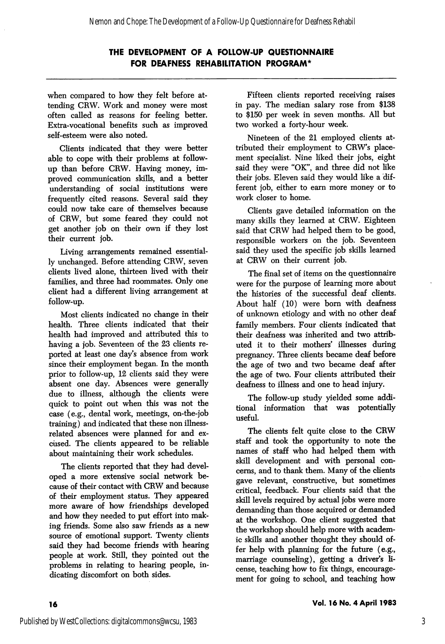when compared to how they felt before at tending CRW. Work and money were most often called as reasons for feeling better. Extra-vocational benefits such as improved self-esteem were also noted.

Clients indicated that they were better able to cope with their problems at followup than before CRW. Having money, im proved communication skills, and a better understanding of social institutions were frequently cited reasons. Several said they could now take care of themselves because of CRW, but some feared they could not get another job on their own if they lost their current job.

Living arrangements remained essential ly unchanged. Before attending CRW, seven clients lived alone, thirteen lived with their families, and three had roommates. Only one client had a different living arrangement at follow-up.

Most clients indicated no change in their health. Three clients indicated that their health had improved and attributed this to having a job. Seventeen of the 23 clients re ported at least one day's absence from work since their employment began. In the month prior to follow-up, 12 clients said they were absent one day. Absences were generally due to illness, although the clients were quick to point out when this was not the case (e.g., dental work, meetings, on-the-job training) and indicated that these non illnessrelated absences were planned for and ex cused. The clients appeared to be reliable about maintaining their work schedules.

The clients reported that they had devel oped a more extensive social network be cause of their contact with CRW and because of their employment status. They appeared more aware of how friendships developed and how they needed to put effort into mak ing friends. Some also saw friends as a new source of emotional support. Twenty clients said they had become friends with hearing people at work. Still, they pointed out the problems in relating to hearing people, in dicating discomfort on both sides.

Fifteen clients reported receiving raises in pay. The median salary rose from \$138 to \$150 per week in seven months. All but two worked a forty-hour week.

Nineteen of the 21 employed clients at tributed their employment to CRW's place ment specialist. Nine liked their jobs, eight said they were "OK", and three did not like their jobs. Eleven said they would like a dif ferent job, either to earn more money or to work closer to home.

Clients gave detailed information on the many skills they learned at CRW. Eighteen said that CRW had helped them to be good, responsible workers on the job. Seventeen said they used the specific job skills learned at CRW on their current job.

The final set of items on the questionnaire were for the purpose of learning more about the histories of the successful deaf clients. About half (10) were bom with deafness of unknown etiology and with no other deaf family members. Four clients indicated that their deafness was inherited and two attrib uted it to their mothers' illnesses during pregnancy. Three clients became deaf before the age of two and two became deaf after the age of two. Four clients attributed their deafness to illness and one to head injury.

The follow-up study yielded some addi tional information that was potentially useful.

The clients felt quite close to the CRW staff and took the opportunity to note the names of staff who had helped them with skill development and with personal con cerns, and to thank them. Many of the clients gave relevant, constructive, but sometimes critical, feedback. Four clients said that the skill levels required by actual jobs were more demanding than those acquired or demanded at the workshop. One client suggested that the workshop should help more with academ ic skills and another thought they should of fer help with planning for the future (e.g., marriage counseling), getting a driver's li cense, teaching how to fix things, encourage ment for going to school, and teaching how